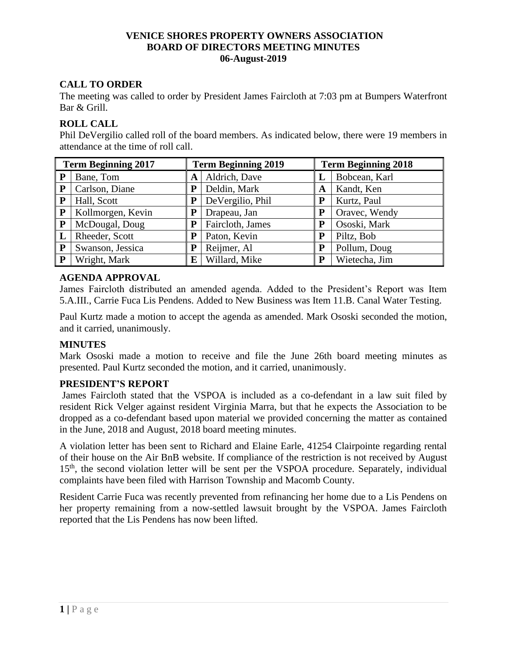# **CALL TO ORDER**

The meeting was called to order by President James Faircloth at 7:03 pm at Bumpers Waterfront Bar & Grill.

# **ROLL CALL**

Phil DeVergilio called roll of the board members. As indicated below, there were 19 members in attendance at the time of roll call.

| <b>Term Beginning 2017</b> |                   | <b>Term Beginning 2019</b> |                  | <b>Term Beginning 2018</b> |               |  |
|----------------------------|-------------------|----------------------------|------------------|----------------------------|---------------|--|
| P                          | Bane, Tom         | A                          | Aldrich, Dave    |                            | Bobcean, Karl |  |
| ${\bf P}$                  | Carlson, Diane    | ${\bf P}$                  | Deldin, Mark     | A                          | Kandt, Ken    |  |
| P                          | Hall, Scott       | P                          | DeVergilio, Phil | P                          | Kurtz, Paul   |  |
| ${\bf P}$                  | Kollmorgen, Kevin | P                          | Drapeau, Jan     | P                          | Oravec, Wendy |  |
| P                          | McDougal, Doug    | P                          | Faircloth, James | P                          | Ososki, Mark  |  |
|                            | Rheeder, Scott    | P                          | Paton, Kevin     | P                          | Piltz, Bob    |  |
| ${\bf P}$                  | Swanson, Jessica  | P                          | Reijmer, Al      | P                          | Pollum, Doug  |  |
| P                          | Wright, Mark      | E                          | Willard, Mike    | P                          | Wietecha, Jim |  |

# **AGENDA APPROVAL**

James Faircloth distributed an amended agenda. Added to the President's Report was Item 5.A.III., Carrie Fuca Lis Pendens. Added to New Business was Item 11.B. Canal Water Testing.

Paul Kurtz made a motion to accept the agenda as amended. Mark Ososki seconded the motion, and it carried, unanimously.

# **MINUTES**

Mark Ososki made a motion to receive and file the June 26th board meeting minutes as presented. Paul Kurtz seconded the motion, and it carried, unanimously.

# **PRESIDENT'S REPORT**

James Faircloth stated that the VSPOA is included as a co-defendant in a law suit filed by resident Rick Velger against resident Virginia Marra, but that he expects the Association to be dropped as a co-defendant based upon material we provided concerning the matter as contained in the June, 2018 and August, 2018 board meeting minutes.

A violation letter has been sent to Richard and Elaine Earle, 41254 Clairpointe regarding rental of their house on the Air BnB website. If compliance of the restriction is not received by August 15<sup>th</sup>, the second violation letter will be sent per the VSPOA procedure. Separately, individual complaints have been filed with Harrison Township and Macomb County.

Resident Carrie Fuca was recently prevented from refinancing her home due to a Lis Pendens on her property remaining from a now-settled lawsuit brought by the VSPOA. James Faircloth reported that the Lis Pendens has now been lifted.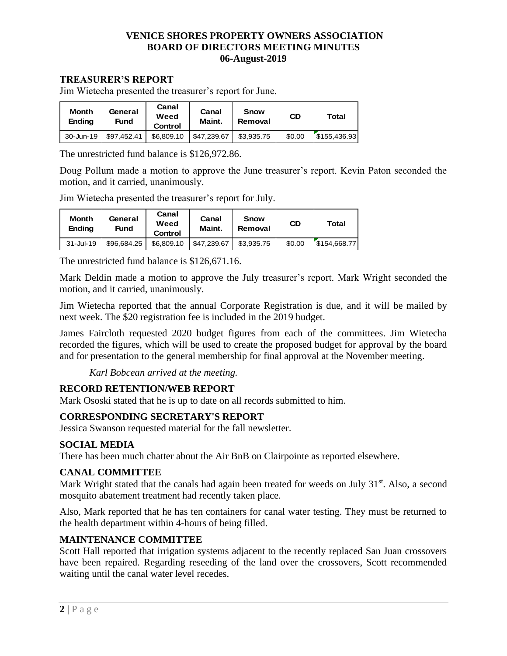## **TREASURER'S REPORT**

Jim Wietecha presented the treasurer's report for June.

| <b>Month</b><br><b>Ending</b> | General<br>Fund | Canal<br>Weed<br>Control | Canal<br>Maint. | <b>Snow</b><br>Removal | <b>CD</b> | Total        |
|-------------------------------|-----------------|--------------------------|-----------------|------------------------|-----------|--------------|
| 30-Jun-19                     | \$97.452.41     | \$6,809.10               | \$47.239.67     | \$3.935.75             | \$0.00    | \$155.436.93 |

The unrestricted fund balance is \$126,972.86.

Doug Pollum made a motion to approve the June treasurer's report. Kevin Paton seconded the motion, and it carried, unanimously.

Jim Wietecha presented the treasurer's report for July.

| <b>Month</b><br>Ending | General<br>Fund | Canal<br>Weed<br>Control | Canal<br>Maint. | Snow<br>Removal | <b>CD</b> | Total        |
|------------------------|-----------------|--------------------------|-----------------|-----------------|-----------|--------------|
| $31 -$ Jul-19          | \$96,684.25     | \$6,809.10               | \$47.239.67     | \$3,935.75      | \$0.00    | \$154,668,77 |

The unrestricted fund balance is \$126,671.16.

Mark Deldin made a motion to approve the July treasurer's report. Mark Wright seconded the motion, and it carried, unanimously.

Jim Wietecha reported that the annual Corporate Registration is due, and it will be mailed by next week. The \$20 registration fee is included in the 2019 budget.

James Faircloth requested 2020 budget figures from each of the committees. Jim Wietecha recorded the figures, which will be used to create the proposed budget for approval by the board and for presentation to the general membership for final approval at the November meeting.

*Karl Bobcean arrived at the meeting.*

# **RECORD RETENTION/WEB REPORT**

Mark Ososki stated that he is up to date on all records submitted to him.

# **CORRESPONDING SECRETARY'S REPORT**

Jessica Swanson requested material for the fall newsletter.

#### **SOCIAL MEDIA**

There has been much chatter about the Air BnB on Clairpointe as reported elsewhere.

#### **CANAL COMMITTEE**

Mark Wright stated that the canals had again been treated for weeds on July 31<sup>st</sup>. Also, a second mosquito abatement treatment had recently taken place.

Also, Mark reported that he has ten containers for canal water testing. They must be returned to the health department within 4-hours of being filled.

# **MAINTENANCE COMMITTEE**

Scott Hall reported that irrigation systems adjacent to the recently replaced San Juan crossovers have been repaired. Regarding reseeding of the land over the crossovers, Scott recommended waiting until the canal water level recedes.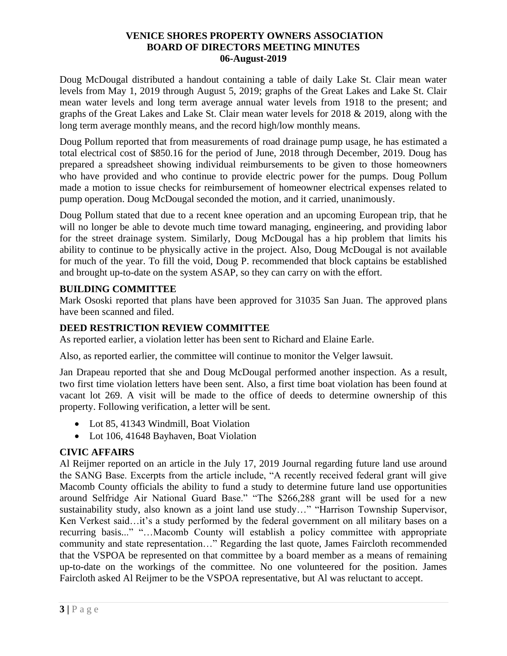Doug McDougal distributed a handout containing a table of daily Lake St. Clair mean water levels from May 1, 2019 through August 5, 2019; graphs of the Great Lakes and Lake St. Clair mean water levels and long term average annual water levels from 1918 to the present; and graphs of the Great Lakes and Lake St. Clair mean water levels for 2018 & 2019, along with the long term average monthly means, and the record high/low monthly means.

Doug Pollum reported that from measurements of road drainage pump usage, he has estimated a total electrical cost of \$850.16 for the period of June, 2018 through December, 2019. Doug has prepared a spreadsheet showing individual reimbursements to be given to those homeowners who have provided and who continue to provide electric power for the pumps. Doug Pollum made a motion to issue checks for reimbursement of homeowner electrical expenses related to pump operation. Doug McDougal seconded the motion, and it carried, unanimously.

Doug Pollum stated that due to a recent knee operation and an upcoming European trip, that he will no longer be able to devote much time toward managing, engineering, and providing labor for the street drainage system. Similarly, Doug McDougal has a hip problem that limits his ability to continue to be physically active in the project. Also, Doug McDougal is not available for much of the year. To fill the void, Doug P. recommended that block captains be established and brought up-to-date on the system ASAP, so they can carry on with the effort.

# **BUILDING COMMITTEE**

Mark Ososki reported that plans have been approved for 31035 San Juan. The approved plans have been scanned and filed.

# **DEED RESTRICTION REVIEW COMMITTEE**

As reported earlier, a violation letter has been sent to Richard and Elaine Earle.

Also, as reported earlier, the committee will continue to monitor the Velger lawsuit.

Jan Drapeau reported that she and Doug McDougal performed another inspection. As a result, two first time violation letters have been sent. Also, a first time boat violation has been found at vacant lot 269. A visit will be made to the office of deeds to determine ownership of this property. Following verification, a letter will be sent.

- Lot 85, 41343 Windmill, Boat Violation
- Lot 106, 41648 Bayhaven, Boat Violation

# **CIVIC AFFAIRS**

Al Reijmer reported on an article in the July 17, 2019 Journal regarding future land use around the SANG Base. Excerpts from the article include, "A recently received federal grant will give Macomb County officials the ability to fund a study to determine future land use opportunities around Selfridge Air National Guard Base." "The \$266,288 grant will be used for a new sustainability study, also known as a joint land use study…" "Harrison Township Supervisor, Ken Verkest said…it's a study performed by the federal government on all military bases on a recurring basis..." "…Macomb County will establish a policy committee with appropriate community and state representation…" Regarding the last quote, James Faircloth recommended that the VSPOA be represented on that committee by a board member as a means of remaining up-to-date on the workings of the committee. No one volunteered for the position. James Faircloth asked Al Reijmer to be the VSPOA representative, but Al was reluctant to accept.